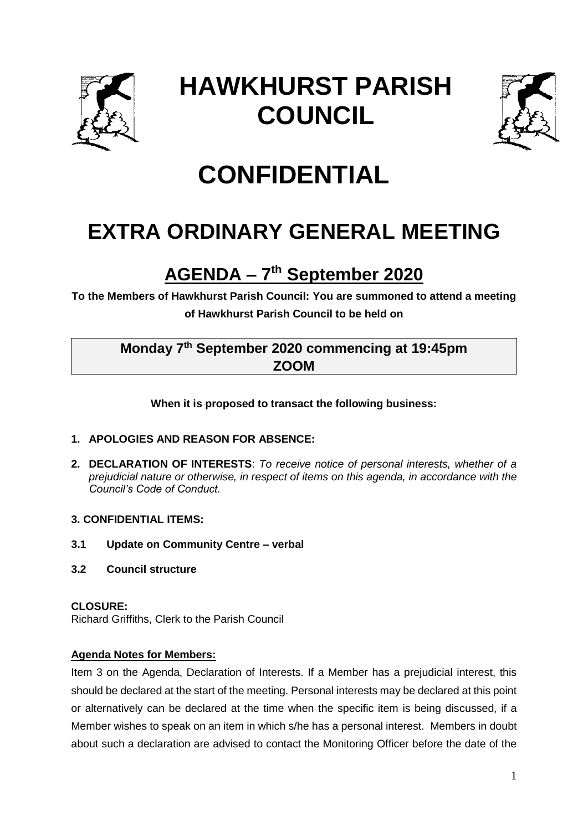

# **HAWKHURST PARISH COUNCIL**



# **CONFIDENTIAL**

## **EXTRA ORDINARY GENERAL MEETING**

## **AGENDA – 7 th September 2020**

**To the Members of Hawkhurst Parish Council: You are summoned to attend a meeting of Hawkhurst Parish Council to be held on**

## **Monday 7th September 2020 commencing at 19:45pm ZOOM**

**When it is proposed to transact the following business:**

## **1. APOLOGIES AND REASON FOR ABSENCE:**

**2. DECLARATION OF INTERESTS**: *To receive notice of personal interests, whether of a prejudicial nature or otherwise, in respect of items on this agenda, in accordance with the Council's Code of Conduct.*

### **3. CONFIDENTIAL ITEMS:**

- **3.1 Update on Community Centre – verbal**
- **3.2 Council structure**

#### **CLOSURE:**

Richard Griffiths, Clerk to the Parish Council

### **Agenda Notes for Members:**

Item 3 on the Agenda, Declaration of Interests. If a Member has a prejudicial interest, this should be declared at the start of the meeting. Personal interests may be declared at this point or alternatively can be declared at the time when the specific item is being discussed, if a Member wishes to speak on an item in which s/he has a personal interest. Members in doubt about such a declaration are advised to contact the Monitoring Officer before the date of the